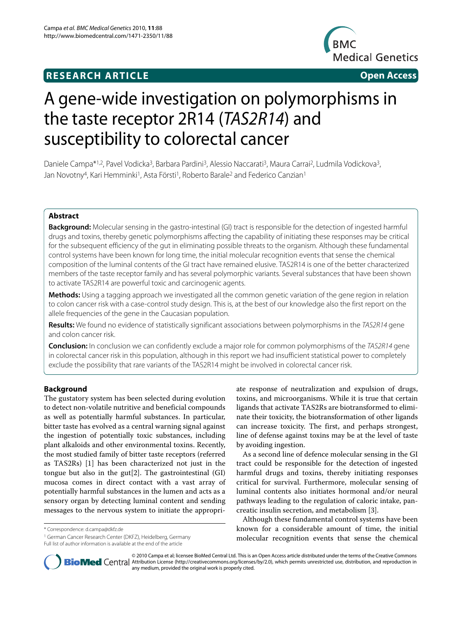# **RESEARCH ARTICLE Open Access**



# A gene-wide investigation on polymorphisms in the taste receptor 2R14 (TAS2R14) and susceptibility to colorectal cancer

Daniele Campa\*1,2, Pavel Vodicka<sup>3</sup>, Barbara Pardini<sup>3</sup>, Alessio Naccarati<sup>3</sup>, Maura Carrai<sup>2</sup>, Ludmila Vodickova<sup>3</sup>, Jan Novotny<sup>4</sup>, Kari Hemminki<sup>1</sup>, Asta Försti<sup>1</sup>, Roberto Barale<sup>2</sup> and Federico Canzian<sup>1</sup>

# **Abstract**

**Background:** Molecular sensing in the gastro-intestinal (GI) tract is responsible for the detection of ingested harmful drugs and toxins, thereby genetic polymorphisms affecting the capability of initiating these responses may be critical for the subsequent efficiency of the gut in eliminating possible threats to the organism. Although these fundamental control systems have been known for long time, the initial molecular recognition events that sense the chemical composition of the luminal contents of the GI tract have remained elusive. TAS2R14 is one of the better characterized members of the taste receptor family and has several polymorphic variants. Several substances that have been shown to activate TAS2R14 are powerful toxic and carcinogenic agents.

**Methods:** Using a tagging approach we investigated all the common genetic variation of the gene region in relation to colon cancer risk with a case-control study design. This is, at the best of our knowledge also the first report on the allele frequencies of the gene in the Caucasian population.

**Results:** We found no evidence of statistically significant associations between polymorphisms in the TAS2R14 gene and colon cancer risk.

**Conclusion:** In conclusion we can confidently exclude a major role for common polymorphisms of the TAS2R14 gene in colorectal cancer risk in this population, although in this report we had insufficient statistical power to completely exclude the possibility that rare variants of the TAS2R14 might be involved in colorectal cancer risk.

# **Background**

The gustatory system has been selected during evolution to detect non-volatile nutritive and beneficial compounds as well as potentially harmful substances. In particular, bitter taste has evolved as a central warning signal against the ingestion of potentially toxic substances, including plant alkaloids and other environmental toxins. Recently, the most studied family of bitter taste receptors (referred as TAS2Rs) [\[1](#page-5-0)] has been characterized not just in the tongue but also in the gut[\[2](#page-5-1)]. The gastrointestinal (GI) mucosa comes in direct contact with a vast array of potentially harmful substances in the lumen and acts as a sensory organ by detecting luminal content and sending messages to the nervous system to initiate the appropri-

\* Correspondence: d.campa@dkfz.de

1 German Cancer Research Center (DKFZ), Heidelberg, Germany Full list of author information is available at the end of the article

ate response of neutralization and expulsion of drugs, toxins, and microorganisms. While it is true that certain ligands that activate TAS2Rs are biotransformed to eliminate their toxicity, the biotransformation of other ligands can increase toxicity. The first, and perhaps strongest, line of defense against toxins may be at the level of taste by avoiding ingestion.

As a second line of defence molecular sensing in the GI tract could be responsible for the detection of ingested harmful drugs and toxins, thereby initiating responses critical for survival. Furthermore, molecular sensing of luminal contents also initiates hormonal and/or neural pathways leading to the regulation of caloric intake, pancreatic insulin secretion, and metabolism [[3\]](#page-5-2).

Although these fundamental control systems have been known for a considerable amount of time, the initial molecular recognition events that sense the chemical



© 2010 Campa et al; licensee BioMed Central Ltd. This is an Open Access article distributed under the terms of the Creative Commons **BioMed** Central Attribution License (http://creativecommons.org/licenses/by/2.0), which permits unrestricted use, distribution, and reproduction in any medium, provided the original work is properly cited.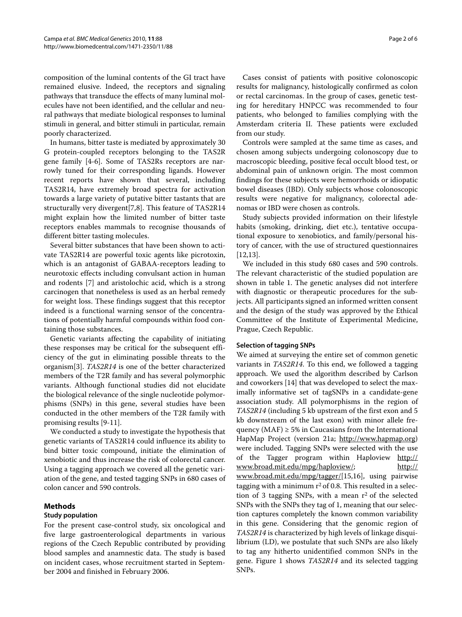composition of the luminal contents of the GI tract have remained elusive. Indeed, the receptors and signaling pathways that transduce the effects of many luminal molecules have not been identified, and the cellular and neural pathways that mediate biological responses to luminal stimuli in general, and bitter stimuli in particular, remain poorly characterized.

In humans, bitter taste is mediated by approximately 30 G protein-coupled receptors belonging to the TAS2R gene family [\[4](#page-5-3)-[6\]](#page-5-4). Some of TAS2Rs receptors are narrowly tuned for their corresponding ligands. However recent reports have shown that several, including TAS2R14, have extremely broad spectra for activation towards a large variety of putative bitter tastants that are structurally very divergent[\[7](#page-5-5),[8](#page-5-6)]. This feature of TAS2R14 might explain how the limited number of bitter taste receptors enables mammals to recognise thousands of different bitter tasting molecules.

Several bitter substances that have been shown to activate TAS2R14 are powerful toxic agents like picrotoxin, which is an antagonist of GABAA-receptors leading to neurotoxic effects including convulsant action in human and rodents [\[7](#page-5-5)] and aristolochic acid, which is a strong carcinogen that nonetheless is used as an herbal remedy for weight loss. These findings suggest that this receptor indeed is a functional warning sensor of the concentrations of potentially harmful compounds within food containing those substances.

Genetic variants affecting the capability of initiating these responses may be critical for the subsequent efficiency of the gut in eliminating possible threats to the organism[[3\]](#page-5-2). *TAS2R14* is one of the better characterized members of the T2R family and has several polymorphic variants. Although functional studies did not elucidate the biological relevance of the single nucleotide polymorphisms (SNPs) in this gene, several studies have been conducted in the other members of the T2R family with promising results [\[9](#page-5-7)-[11](#page-5-8)].

We conducted a study to investigate the hypothesis that genetic variants of TAS2R14 could influence its ability to bind bitter toxic compound, initiate the elimination of xenobiotic and thus increase the risk of colorectal cancer. Using a tagging approach we covered all the genetic variation of the gene, and tested tagging SNPs in 680 cases of colon cancer and 590 controls.

# **Methods**

# **Study population**

For the present case-control study, six oncological and five large gastroenterological departments in various regions of the Czech Republic contributed by providing blood samples and anamnestic data. The study is based on incident cases, whose recruitment started in September 2004 and finished in February 2006.

Cases consist of patients with positive colonoscopic results for malignancy, histologically confirmed as colon or rectal carcinomas. In the group of cases, genetic testing for hereditary HNPCC was recommended to four patients, who belonged to families complying with the Amsterdam criteria II. These patients were excluded from our study.

Controls were sampled at the same time as cases, and chosen among subjects undergoing colonoscopy due to macroscopic bleeding, positive fecal occult blood test, or abdominal pain of unknown origin. The most common findings for these subjects were hemorrhoids or idiopatic bowel diseases (IBD). Only subjects whose colonoscopic results were negative for malignancy, colorectal adenomas or IBD were chosen as controls.

Study subjects provided information on their lifestyle habits (smoking, drinking, diet etc.), tentative occupational exposure to xenobiotics, and family/personal history of cancer, with the use of structured questionnaires [[12,](#page-5-9)[13\]](#page-5-10).

We included in this study 680 cases and 590 controls. The relevant characteristic of the studied population are shown in table 1. The genetic analyses did not interfere with diagnostic or therapeutic procedures for the subjects. All participants signed an informed written consent and the design of the study was approved by the Ethical Committee of the Institute of Experimental Medicine, Prague, Czech Republic.

# **Selection of tagging SNPs**

We aimed at surveying the entire set of common genetic variants in *TAS2R14*. To this end, we followed a tagging approach. We used the algorithm described by Carlson and coworkers [\[14\]](#page-5-11) that was developed to select the maximally informative set of tagSNPs in a candidate-gene association study. All polymorphisms in the region of *TAS2R14* (including 5 kb upstream of the first exon and 5 kb downstream of the last exon) with minor allele frequency (MAF)  $\geq$  5% in Caucasians from the International HapMap Project (version 21a; <http://www.hapmap.org>) were included. Tagging SNPs were selected with the use of the Tagger program within Haploview [http://](http://www.broad.mit.edu/mpg/haploview/) [www.broad.mit.edu/mpg/haploview/;](http://www.broad.mit.edu/mpg/haploview/) [http://](http://www.broad.mit.edu/mpg/tagger/) [www.broad.mit.edu/mpg/tagger/\[](http://www.broad.mit.edu/mpg/tagger/)[15,](#page-5-12)[16\]](#page-5-13), using pairwise tagging with a minimum  $r^2$  of 0.8. This resulted in a selection of 3 tagging SNPs, with a mean  $r^2$  of the selected SNPs with the SNPs they tag of 1, meaning that our selection captures completely the known common variability in this gene. Considering that the genomic region of *TAS2R14* is characterized by high levels of linkage disquilibrium (LD), we postulate that such SNPs are also likely to tag any hitherto unidentified common SNPs in the gene. Figure [1](#page-3-0) shows *TAS2R14* and its selected tagging SNPs.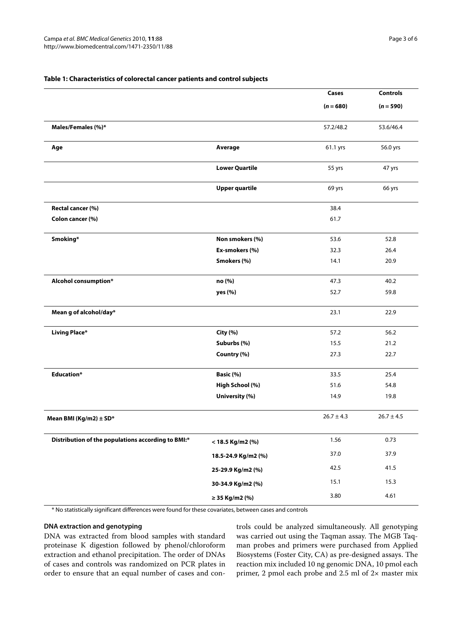|                                                    |                       | Cases          | <b>Controls</b> |
|----------------------------------------------------|-----------------------|----------------|-----------------|
|                                                    |                       | $(n = 680)$    | $(n = 590)$     |
| Males/Females (%)*                                 |                       | 57.2/48.2      | 53.6/46.4       |
| Age                                                | Average               | 61.1 yrs       | 56.0 yrs        |
|                                                    | <b>Lower Quartile</b> | 55 yrs         | 47 yrs          |
|                                                    | <b>Upper quartile</b> | 69 yrs         | 66 yrs          |
| Rectal cancer (%)                                  |                       | 38.4           |                 |
| Colon cancer (%)                                   |                       | 61.7           |                 |
| Smoking*                                           | Non smokers (%)       | 53.6           | 52.8            |
|                                                    | Ex-smokers (%)        | 32.3           | 26.4            |
|                                                    | Smokers (%)           | 14.1           | 20.9            |
| Alcohol consumption*                               | no (%)                | 47.3           | 40.2            |
|                                                    | yes (%)               | 52.7           | 59.8            |
| Mean g of alcohol/day*                             |                       | 23.1           | 22.9            |
| <b>Living Place*</b>                               | City (%)              | 57.2           | 56.2            |
|                                                    | Suburbs (%)           | 15.5           | 21.2            |
|                                                    | Country (%)           | 27.3           | 22.7            |
| <b>Education*</b>                                  | Basic (%)             | 33.5           | 25.4            |
|                                                    | High School (%)       | 51.6           | 54.8            |
|                                                    | University (%)        | 14.9           | 19.8            |
| Mean BMI (Kg/m2) $\pm$ SD*                         |                       | $26.7 \pm 4.3$ | $26.7 \pm 4.5$  |
| Distribution of the populations according to BMI:* | < 18.5 Kg/m2 (%)      | 1.56           | 0.73            |
|                                                    | 18.5-24.9 Kg/m2 (%)   | 37.0           | 37.9            |
|                                                    | 25-29.9 Kg/m2 (%)     | 42.5           | 41.5            |
|                                                    | 30-34.9 Kg/m2 (%)     | 15.1           | 15.3            |
|                                                    | $\geq$ 35 Kg/m2 (%)   | 3.80           | 4.61            |

### **Table 1: Characteristics of colorectal cancer patients and control subjects**

\* No statistically significant differences were found for these covariates, between cases and controls

#### **DNA extraction and genotyping**

DNA was extracted from blood samples with standard proteinase K digestion followed by phenol/chloroform extraction and ethanol precipitation. The order of DNAs of cases and controls was randomized on PCR plates in order to ensure that an equal number of cases and controls could be analyzed simultaneously. All genotyping was carried out using the Taqman assay. The MGB Taqman probes and primers were purchased from Applied Biosystems (Foster City, CA) as pre-designed assays. The reaction mix included 10 ng genomic DNA, 10 pmol each primer, 2 pmol each probe and 2.5 ml of 2× master mix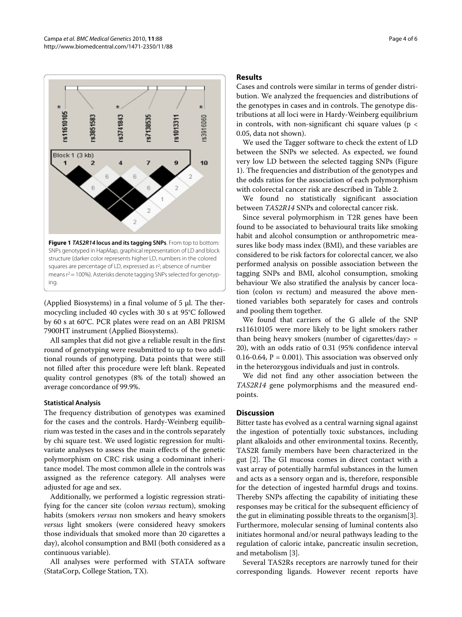<span id="page-3-0"></span>

(Applied Biosystems) in a final volume of 5 μl. The thermocycling included 40 cycles with 30 s at 95°C followed by 60 s at 60°C. PCR plates were read on an ABI PRISM 7900HT instrument (Applied Biosystems).

All samples that did not give a reliable result in the first round of genotyping were resubmitted to up to two additional rounds of genotyping. Data points that were still not filled after this procedure were left blank. Repeated quality control genotypes (8% of the total) showed an average concordance of 99.9%.

#### **Statistical Analysis**

The frequency distribution of genotypes was examined for the cases and the controls. Hardy-Weinberg equilibrium was tested in the cases and in the controls separately by chi square test. We used logistic regression for multivariate analyses to assess the main effects of the genetic polymorphism on CRC risk using a codominant inheritance model. The most common allele in the controls was assigned as the reference category. All analyses were adjusted for age and sex.

Additionally, we performed a logistic regression stratifying for the cancer site (colon *versus* rectum), smoking habits (smokers *versus* non smokers and heavy smokers *versus* light smokers (were considered heavy smokers those individuals that smoked more than 20 cigarettes a day), alcohol consumption and BMI (both considered as a continuous variable).

All analyses were performed with STATA software (StataCorp, College Station, TX).

# **Results**

Cases and controls were similar in terms of gender distribution. We analyzed the frequencies and distributions of the genotypes in cases and in controls. The genotype distributions at all loci were in Hardy-Weinberg equilibrium in controls, with non-significant chi square values ( $p <$ 0.05, data not shown).

We used the Tagger software to check the extent of LD between the SNPs we selected. As expected, we found very low LD between the selected tagging SNPs (Figure [1\)](#page-3-0). The frequencies and distribution of the genotypes and the odds ratios for the association of each polymorphism with colorectal cancer risk are described in Table [2](#page-4-0).

We found no statistically significant association between *TAS2R14* SNPs and colorectal cancer risk.

Since several polymorphism in T2R genes have been found to be associated to behavioural traits like smoking habit and alcohol consumption or anthropometric measures like body mass index (BMI), and these variables are considered to be risk factors for colorectal cancer, we also performed analysis on possible association between the tagging SNPs and BMI, alcohol consumption, smoking behaviour We also stratified the analysis by cancer location (colon *vs* rectum) and measured the above mentioned variables both separately for cases and controls and pooling them together.

We found that carriers of the G allele of the SNP rs11610105 were more likely to be light smokers rather than being heavy smokers (number of cigarettes/day> = 20), with an odds ratio of 0.31 (95% confidence interval 0.16-0.64,  $P = 0.001$ ). This association was observed only in the heterozygous individuals and just in controls.

We did not find any other association between the *TAS2R14* gene polymorphisms and the measured endpoints.

# **Discussion**

Bitter taste has evolved as a central warning signal against the ingestion of potentially toxic substances, including plant alkaloids and other environmental toxins. Recently, TAS2R family members have been characterized in the gut [\[2\]](#page-5-1). The GI mucosa comes in direct contact with a vast array of potentially harmful substances in the lumen and acts as a sensory organ and is, therefore, responsible for the detection of ingested harmful drugs and toxins. Thereby SNPs affecting the capability of initiating these responses may be critical for the subsequent efficiency of the gut in eliminating possible threats to the organism[\[3](#page-5-2)]. Furthermore, molecular sensing of luminal contents also initiates hormonal and/or neural pathways leading to the regulation of caloric intake, pancreatic insulin secretion, and metabolism [[3\]](#page-5-2).

Several TAS2Rs receptors are narrowly tuned for their corresponding ligands. However recent reports have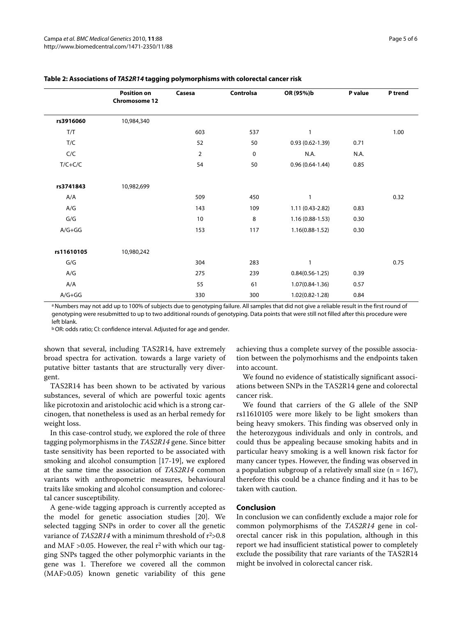|            | <b>Position on</b><br><b>Chromosome 12</b> | Casesa         | Controlsa | OR (95%)b           | P value | P trend |
|------------|--------------------------------------------|----------------|-----------|---------------------|---------|---------|
| rs3916060  | 10,984,340                                 |                |           |                     |         |         |
| T/T        |                                            | 603            | 537       | 1                   |         | 1.00    |
| T/C        |                                            | 52             | 50        | $0.93(0.62 - 1.39)$ | 0.71    |         |
| C/C        |                                            | $\overline{2}$ | 0         | N.A.                | N.A.    |         |
| $T/C+C/C$  |                                            | 54             | 50        | $0.96(0.64-1.44)$   | 0.85    |         |
| rs3741843  | 10,982,699                                 |                |           |                     |         |         |
| A/A        |                                            | 509            | 450       | 1                   |         | 0.32    |
| A/G        |                                            | 143            | 109       | 1.11 (0.43-2.82)    | 0.83    |         |
| G/G        |                                            | 10             | 8         | $1.16(0.88-1.53)$   | 0.30    |         |
| $A/G+GG$   |                                            | 153            | 117       | $1.16(0.88-1.52)$   | 0.30    |         |
| rs11610105 | 10,980,242                                 |                |           |                     |         |         |
| G/G        |                                            | 304            | 283       | 1                   |         | 0.75    |
| A/G        |                                            | 275            | 239       | $0.84(0.56 - 1.25)$ | 0.39    |         |
| A/A        |                                            | 55             | 61        | $1.07(0.84-1.36)$   | 0.57    |         |
| $A/G+GG$   |                                            | 330            | 300       | $1.02(0.82 - 1.28)$ | 0.84    |         |

### <span id="page-4-0"></span>**Table 2: Associations of TAS2R14 tagging polymorphisms with colorectal cancer risk**

a Numbers may not add up to 100% of subjects due to genotyping failure. All samples that did not give a reliable result in the first round of genotyping were resubmitted to up to two additional rounds of genotyping. Data points that were still not filled after this procedure were left blank.

b OR: odds ratio; CI: confidence interval. Adjusted for age and gender.

shown that several, including TAS2R14, have extremely broad spectra for activation. towards a large variety of putative bitter tastants that are structurally very divergent.

TAS2R14 has been shown to be activated by various substances, several of which are powerful toxic agents like picrotoxin and aristolochic acid which is a strong carcinogen, that nonetheless is used as an herbal remedy for weight loss.

In this case-control study, we explored the role of three tagging polymorphisms in the *TAS2R14* gene. Since bitter taste sensitivity has been reported to be associated with smoking and alcohol consumption [[17-](#page-5-14)[19](#page-5-15)], we explored at the same time the association of *TAS2R14* common variants with anthropometric measures, behavioural traits like smoking and alcohol consumption and colorectal cancer susceptibility.

A gene-wide tagging approach is currently accepted as the model for genetic association studies [[20\]](#page-5-16). We selected tagging SNPs in order to cover all the genetic variance of *TAS2R14* with a minimum threshold of r<sup>2</sup>>0.8 and MAF > 0.05. However, the real  $r^2$  with which our tagging SNPs tagged the other polymorphic variants in the gene was 1. Therefore we covered all the common (MAF>0.05) known genetic variability of this gene

achieving thus a complete survey of the possible association between the polymorhisms and the endpoints taken into account.

We found no evidence of statistically significant associations between SNPs in the TAS2R14 gene and colorectal cancer risk.

We found that carriers of the G allele of the SNP rs11610105 were more likely to be light smokers than being heavy smokers. This finding was observed only in the heterozygous individuals and only in controls, and could thus be appealing because smoking habits and in particular heavy smoking is a well known risk factor for many cancer types. However, the finding was observed in a population subgroup of a relatively small size  $(n = 167)$ , therefore this could be a chance finding and it has to be taken with caution.

#### **Conclusion**

In conclusion we can confidently exclude a major role for common polymorphisms of the *TAS2R14* gene in colorectal cancer risk in this population, although in this report we had insufficient statistical power to completely exclude the possibility that rare variants of the TAS2R14 might be involved in colorectal cancer risk.